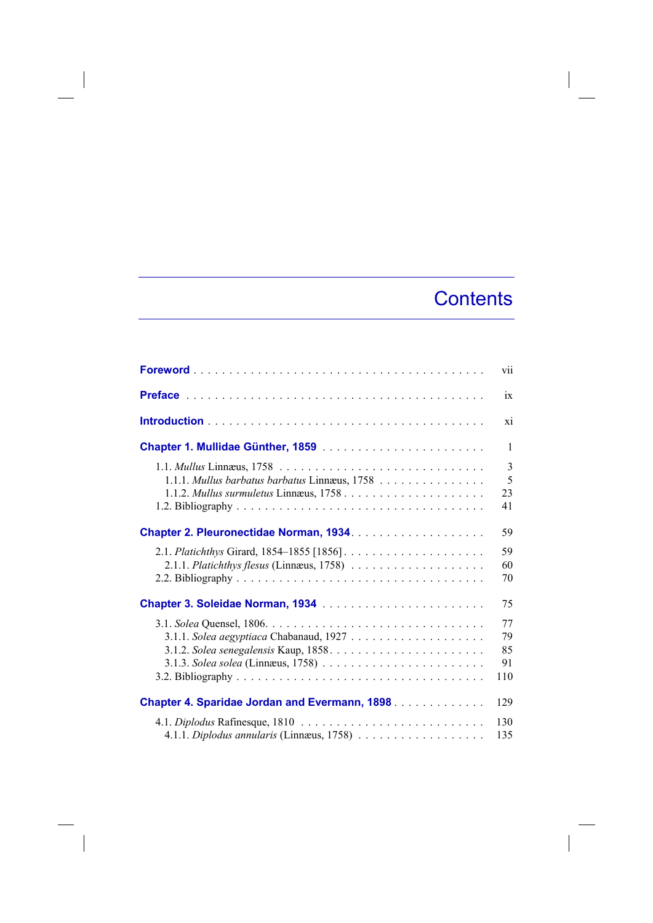## **Contents**

|                                                       | vii                             |
|-------------------------------------------------------|---------------------------------|
|                                                       | ix                              |
|                                                       | xi                              |
|                                                       | 1                               |
| 1.1.1. Mullus barbatus barbatus Linnæus, 1758         | $\overline{3}$<br>5<br>23<br>41 |
|                                                       | 59                              |
|                                                       | 59<br>60<br>70                  |
| Chapter 3. Soleidae Norman, 1934                      | 75                              |
|                                                       | 77<br>79<br>85<br>91<br>110     |
| <b>Chapter 4. Sparidae Jordan and Evermann, 1898.</b> | 129                             |
|                                                       | 130<br>135                      |

 $\overline{\phantom{a}}$ 

 $\overline{\phantom{a}}$